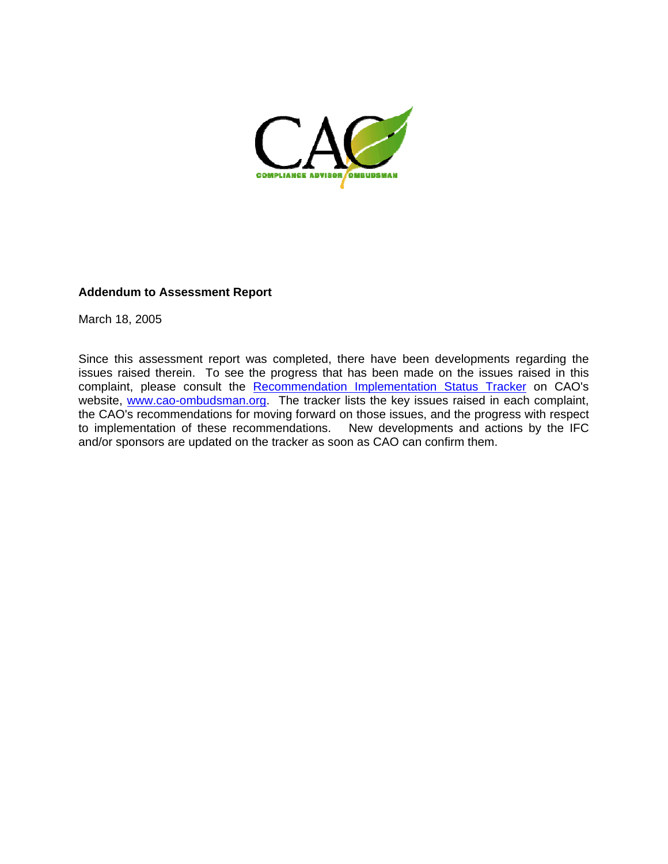

#### **Addendum to Assessment Report**

March 18, 2005

Since this assessment report was completed, there have been developments regarding the issues raised therein. To see the progress that has been made on the issues raised in this complaint, please consult the [Recommendation Implementation Status Tracker](http://www.cao-ombudsman.org/pdfs/Implementation%20Tracker.pdf) on CAO's website, [www.cao-ombudsman.org](http://www.cao-ombudsman.org/). The tracker lists the key issues raised in each complaint, the CAO's recommendations for moving forward on those issues, and the progress with respect to implementation of these recommendations. New developments and actions by the IFC and/or sponsors are updated on the tracker as soon as CAO can confirm them.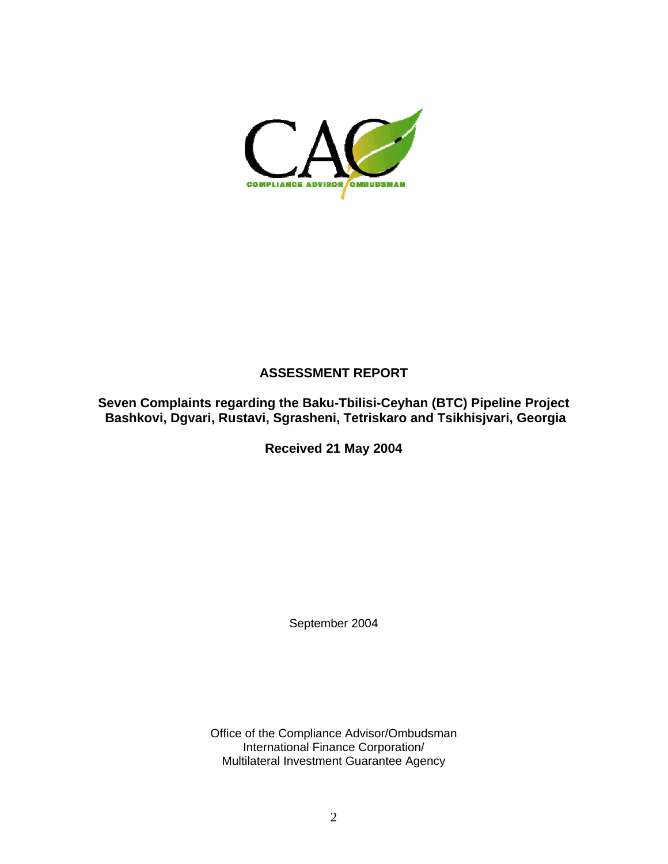

# **ASSESSMENT REPORT**

**Seven Complaints regarding the Baku-Tbilisi-Ceyhan (BTC) Pipeline Project Bashkovi, Dgvari, Rustavi, Sgrasheni, Tetriskaro and Tsikhisjvari, Georgia** 

**Received 21 May 2004**

September 2004

Office of the Compliance Advisor/Ombudsman International Finance Corporation/ Multilateral Investment Guarantee Agency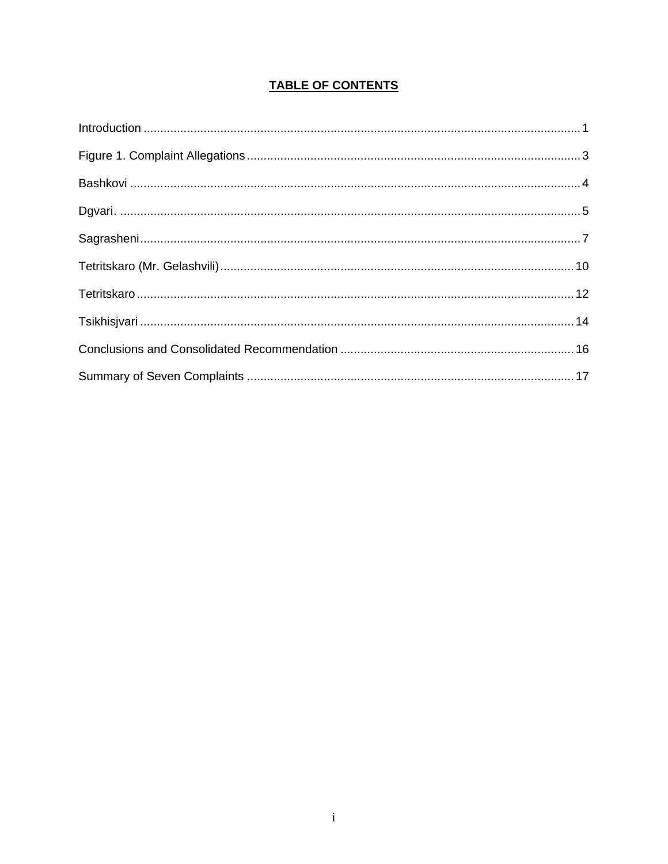# **TABLE OF CONTENTS**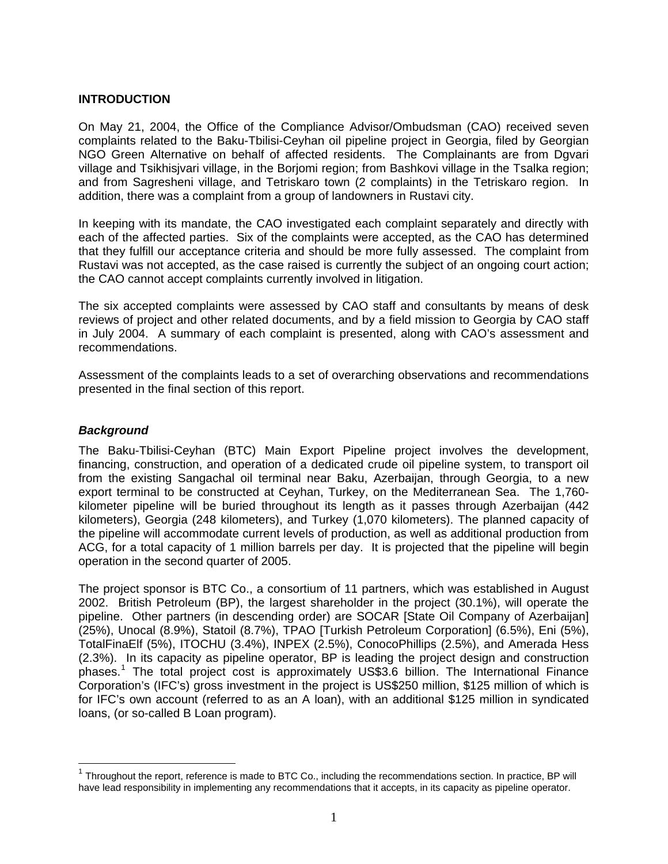#### **INTRODUCTION**

On May 21, 2004, the Office of the Compliance Advisor/Ombudsman (CAO) received seven complaints related to the Baku-Tbilisi-Ceyhan oil pipeline project in Georgia, filed by Georgian NGO Green Alternative on behalf of affected residents. The Complainants are from Dgvari village and Tsikhisjvari village, in the Borjomi region; from Bashkovi village in the Tsalka region; and from Sagresheni village, and Tetriskaro town (2 complaints) in the Tetriskaro region. In addition, there was a complaint from a group of landowners in Rustavi city.

In keeping with its mandate, the CAO investigated each complaint separately and directly with each of the affected parties. Six of the complaints were accepted, as the CAO has determined that they fulfill our acceptance criteria and should be more fully assessed. The complaint from Rustavi was not accepted, as the case raised is currently the subject of an ongoing court action; the CAO cannot accept complaints currently involved in litigation.

The six accepted complaints were assessed by CAO staff and consultants by means of desk reviews of project and other related documents, and by a field mission to Georgia by CAO staff in July 2004. A summary of each complaint is presented, along with CAO's assessment and recommendations.

Assessment of the complaints leads to a set of overarching observations and recommendations presented in the final section of this report.

#### *Background*

 $\overline{a}$ 

The Baku-Tbilisi-Ceyhan (BTC) Main Export Pipeline project involves the development, financing, construction, and operation of a dedicated crude oil pipeline system, to transport oil from the existing Sangachal oil terminal near Baku, Azerbaijan, through Georgia, to a new export terminal to be constructed at Ceyhan, Turkey, on the Mediterranean Sea. The 1,760 kilometer pipeline will be buried throughout its length as it passes through Azerbaijan (442 kilometers), Georgia (248 kilometers), and Turkey (1,070 kilometers). The planned capacity of the pipeline will accommodate current levels of production, as well as additional production from ACG, for a total capacity of 1 million barrels per day. It is projected that the pipeline will begin operation in the second quarter of 2005.

The project sponsor is BTC Co., a consortium of 11 partners, which was established in August 2002. British Petroleum (BP), the largest shareholder in the project (30.1%), will operate the pipeline. Other partners (in descending order) are SOCAR [State Oil Company of Azerbaijan] (25%), Unocal (8.9%), Statoil (8.7%), TPAO [Turkish Petroleum Corporation] (6.5%), Eni (5%), TotalFinaElf (5%), ITOCHU (3.4%), INPEX (2.5%), ConocoPhillips (2.5%), and Amerada Hess (2.3%). In its capacity as pipeline operator, BP is leading the project design and construction phases.<sup>[1](#page-3-0)</sup> The total project cost is approximately US\$3.6 billion. The International Finance Corporation's (IFC's) gross investment in the project is US\$250 million, \$125 million of which is for IFC's own account (referred to as an A loan), with an additional \$125 million in syndicated loans, (or so-called B Loan program).

<span id="page-3-0"></span> $1$  Throughout the report, reference is made to BTC Co., including the recommendations section. In practice, BP will have lead responsibility in implementing any recommendations that it accepts, in its capacity as pipeline operator.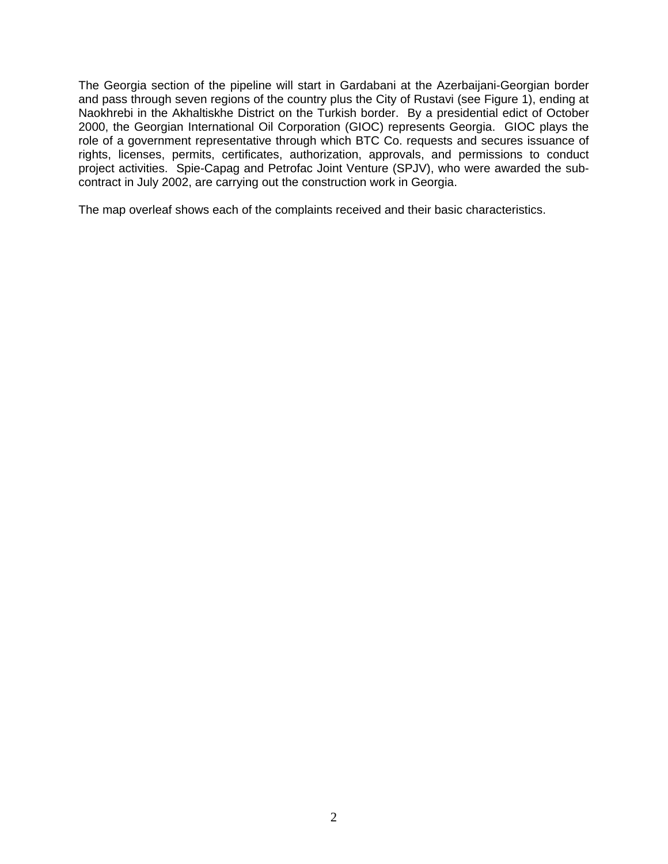The Georgia section of the pipeline will start in Gardabani at the Azerbaijani-Georgian border and pass through seven regions of the country plus the City of Rustavi (see Figure 1), ending at Naokhrebi in the Akhaltiskhe District on the Turkish border. By a presidential edict of October 2000, the Georgian International Oil Corporation (GIOC) represents Georgia. GIOC plays the role of a government representative through which BTC Co. requests and secures issuance of rights, licenses, permits, certificates, authorization, approvals, and permissions to conduct project activities. Spie-Capag and Petrofac Joint Venture (SPJV), who were awarded the subcontract in July 2002, are carrying out the construction work in Georgia.

The map overleaf shows each of the complaints received and their basic characteristics.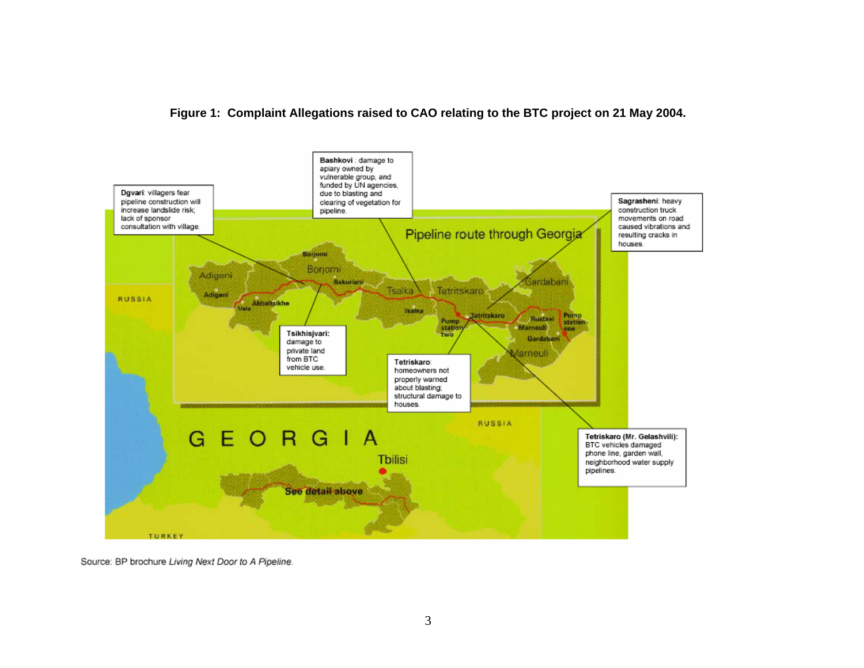



Source: BP brochure Living Next Door to A Pipeline.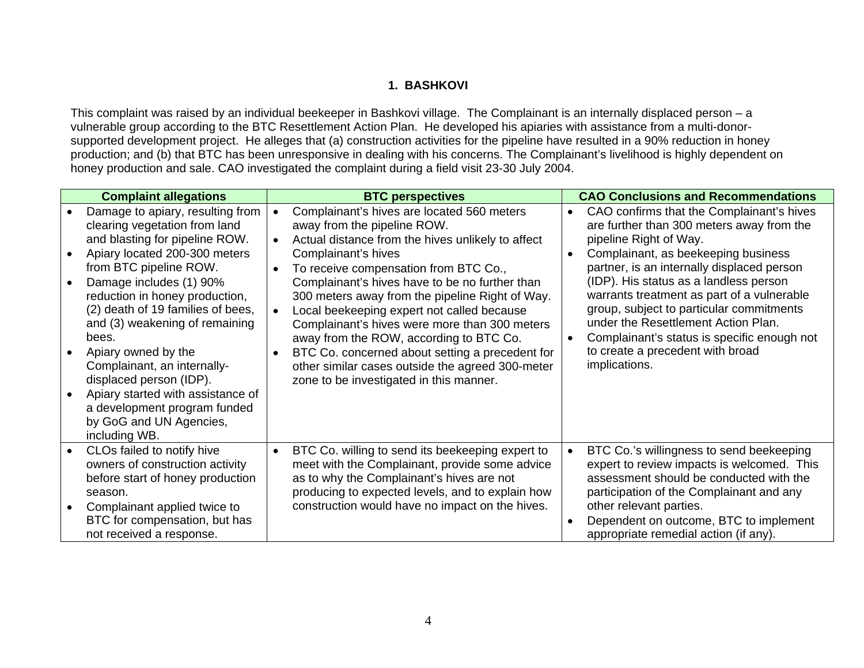## **1. BASHKOVI**

This complaint was raised by an individual beekeeper in Bashkovi village. The Complainant is an internally displaced person – a vulnerable group according to the BTC Resettlement Action Plan. He developed his apiaries with assistance from a multi-donorsupported development project. He alleges that (a) construction activities for the pipeline have resulted in a 90% reduction in honey production; and (b) that BTC has been unresponsive in dealing with his concerns. The Complainant's livelihood is highly dependent on honey production and sale. CAO investigated the complaint during a field visit 23-30 July 2004.

| <b>Complaint allegations</b>                                                                                                                                                                                                                                                                                                                                                                                                                                                                                  |           | <b>BTC perspectives</b>                                                                                                                                                                                                                                                                                                                                                                                                                                                                                                                                                                         |                        | <b>CAO Conclusions and Recommendations</b>                                                                                                                                                                                                                                                                                                                                                                                                                                           |
|---------------------------------------------------------------------------------------------------------------------------------------------------------------------------------------------------------------------------------------------------------------------------------------------------------------------------------------------------------------------------------------------------------------------------------------------------------------------------------------------------------------|-----------|-------------------------------------------------------------------------------------------------------------------------------------------------------------------------------------------------------------------------------------------------------------------------------------------------------------------------------------------------------------------------------------------------------------------------------------------------------------------------------------------------------------------------------------------------------------------------------------------------|------------------------|--------------------------------------------------------------------------------------------------------------------------------------------------------------------------------------------------------------------------------------------------------------------------------------------------------------------------------------------------------------------------------------------------------------------------------------------------------------------------------------|
| Damage to apiary, resulting from<br>clearing vegetation from land<br>and blasting for pipeline ROW.<br>Apiary located 200-300 meters<br>from BTC pipeline ROW.<br>Damage includes (1) 90%<br>reduction in honey production,<br>(2) death of 19 families of bees,<br>and (3) weakening of remaining<br>bees.<br>Apiary owned by the<br>Complainant, an internally-<br>displaced person (IDP).<br>Apiary started with assistance of<br>a development program funded<br>by GoG and UN Agencies,<br>including WB. | $\bullet$ | Complainant's hives are located 560 meters<br>away from the pipeline ROW.<br>Actual distance from the hives unlikely to affect<br>Complainant's hives<br>To receive compensation from BTC Co.,<br>Complainant's hives have to be no further than<br>300 meters away from the pipeline Right of Way.<br>Local beekeeping expert not called because<br>Complainant's hives were more than 300 meters<br>away from the ROW, according to BTC Co.<br>BTC Co. concerned about setting a precedent for<br>other similar cases outside the agreed 300-meter<br>zone to be investigated in this manner. | $\bullet$              | CAO confirms that the Complainant's hives<br>are further than 300 meters away from the<br>pipeline Right of Way.<br>Complainant, as beekeeping business<br>partner, is an internally displaced person<br>(IDP). His status as a landless person<br>warrants treatment as part of a vulnerable<br>group, subject to particular commitments<br>under the Resettlement Action Plan.<br>Complainant's status is specific enough not<br>to create a precedent with broad<br>implications. |
| CLOs failed to notify hive<br>owners of construction activity<br>before start of honey production<br>season.<br>Complainant applied twice to<br>BTC for compensation, but has<br>not received a response.                                                                                                                                                                                                                                                                                                     |           | BTC Co. willing to send its beekeeping expert to<br>meet with the Complainant, provide some advice<br>as to why the Complainant's hives are not<br>producing to expected levels, and to explain how<br>construction would have no impact on the hives.                                                                                                                                                                                                                                                                                                                                          | $\bullet$<br>$\bullet$ | BTC Co.'s willingness to send beekeeping<br>expert to review impacts is welcomed. This<br>assessment should be conducted with the<br>participation of the Complainant and any<br>other relevant parties.<br>Dependent on outcome, BTC to implement<br>appropriate remedial action (if any).                                                                                                                                                                                          |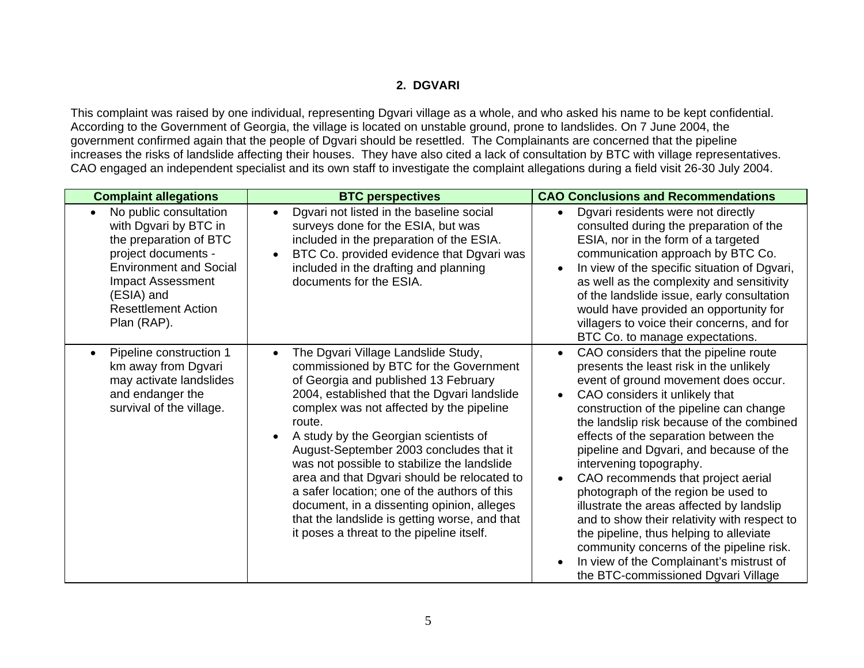## **2. DGVARI**

This complaint was raised by one individual, representing Dgvari village as a whole, and who asked his name to be kept confidential. According to the Government of Georgia, the village is located on unstable ground, prone to landslides. On 7 June 2004, the government confirmed again that the people of Dgvari should be resettled. The Complainants are concerned that the pipeline increases the risks of landslide affecting their houses. They have also cited a lack of consultation by BTC with village representatives. CAO engaged an independent specialist and its own staff to investigate the complaint allegations during a field visit 26-30 July 2004.

| <b>Complaint allegations</b>                                                                                                                                                                                      | <b>BTC perspectives</b>                                                                                                                                                                                                                                                                                                                                                                                                                                                                                                                                                                                  | <b>CAO Conclusions and Recommendations</b>                                                                                                                                                                                                                                                                                                                                                                                                                                                                                                                                                                                                                                                                            |
|-------------------------------------------------------------------------------------------------------------------------------------------------------------------------------------------------------------------|----------------------------------------------------------------------------------------------------------------------------------------------------------------------------------------------------------------------------------------------------------------------------------------------------------------------------------------------------------------------------------------------------------------------------------------------------------------------------------------------------------------------------------------------------------------------------------------------------------|-----------------------------------------------------------------------------------------------------------------------------------------------------------------------------------------------------------------------------------------------------------------------------------------------------------------------------------------------------------------------------------------------------------------------------------------------------------------------------------------------------------------------------------------------------------------------------------------------------------------------------------------------------------------------------------------------------------------------|
| No public consultation<br>with Dgvari by BTC in<br>the preparation of BTC<br>project documents -<br><b>Environment and Social</b><br>Impact Assessment<br>(ESIA) and<br><b>Resettlement Action</b><br>Plan (RAP). | Dgvari not listed in the baseline social<br>$\bullet$<br>surveys done for the ESIA, but was<br>included in the preparation of the ESIA.<br>BTC Co. provided evidence that Dgvari was<br>$\bullet$<br>included in the drafting and planning<br>documents for the ESIA.                                                                                                                                                                                                                                                                                                                                    | Dgvari residents were not directly<br>$\bullet$<br>consulted during the preparation of the<br>ESIA, nor in the form of a targeted<br>communication approach by BTC Co.<br>In view of the specific situation of Dgvari,<br>as well as the complexity and sensitivity<br>of the landslide issue, early consultation<br>would have provided an opportunity for<br>villagers to voice their concerns, and for<br>BTC Co. to manage expectations.                                                                                                                                                                                                                                                                          |
| Pipeline construction 1<br>km away from Dgvari<br>may activate landslides<br>and endanger the<br>survival of the village.                                                                                         | The Dgvari Village Landslide Study,<br>commissioned by BTC for the Government<br>of Georgia and published 13 February<br>2004, established that the Dgvari landslide<br>complex was not affected by the pipeline<br>route.<br>A study by the Georgian scientists of<br>August-September 2003 concludes that it<br>was not possible to stabilize the landslide<br>area and that Dgvari should be relocated to<br>a safer location; one of the authors of this<br>document, in a dissenting opinion, alleges<br>that the landslide is getting worse, and that<br>it poses a threat to the pipeline itself. | CAO considers that the pipeline route<br>presents the least risk in the unlikely<br>event of ground movement does occur.<br>CAO considers it unlikely that<br>construction of the pipeline can change<br>the landslip risk because of the combined<br>effects of the separation between the<br>pipeline and Dgvari, and because of the<br>intervening topography.<br>CAO recommends that project aerial<br>photograph of the region be used to<br>illustrate the areas affected by landslip<br>and to show their relativity with respect to<br>the pipeline, thus helping to alleviate<br>community concerns of the pipeline risk.<br>In view of the Complainant's mistrust of<br>the BTC-commissioned Dgvari Village |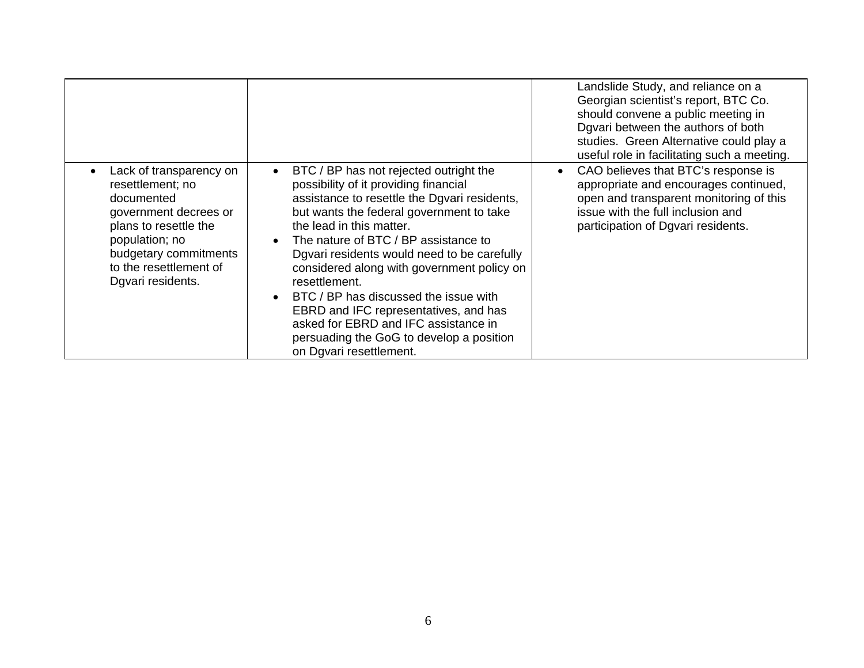|                                                                                                                                                                                                       |                                                                                                                                                                                                                                                                                                                                                                                                                                                                                                                                                                | Landslide Study, and reliance on a<br>Georgian scientist's report, BTC Co.<br>should convene a public meeting in<br>Dgvari between the authors of both<br>studies. Green Alternative could play a<br>useful role in facilitating such a meeting. |
|-------------------------------------------------------------------------------------------------------------------------------------------------------------------------------------------------------|----------------------------------------------------------------------------------------------------------------------------------------------------------------------------------------------------------------------------------------------------------------------------------------------------------------------------------------------------------------------------------------------------------------------------------------------------------------------------------------------------------------------------------------------------------------|--------------------------------------------------------------------------------------------------------------------------------------------------------------------------------------------------------------------------------------------------|
| Lack of transparency on<br>resettlement; no<br>documented<br>government decrees or<br>plans to resettle the<br>population; no<br>budgetary commitments<br>to the resettlement of<br>Dgvari residents. | BTC / BP has not rejected outright the<br>possibility of it providing financial<br>assistance to resettle the Dgvari residents,<br>but wants the federal government to take<br>the lead in this matter.<br>The nature of BTC / BP assistance to<br>Dgvari residents would need to be carefully<br>considered along with government policy on<br>resettlement.<br>BTC / BP has discussed the issue with<br>EBRD and IFC representatives, and has<br>asked for EBRD and IFC assistance in<br>persuading the GoG to develop a position<br>on Dgvari resettlement. | CAO believes that BTC's response is<br>appropriate and encourages continued,<br>open and transparent monitoring of this<br>issue with the full inclusion and<br>participation of Dgvari residents.                                               |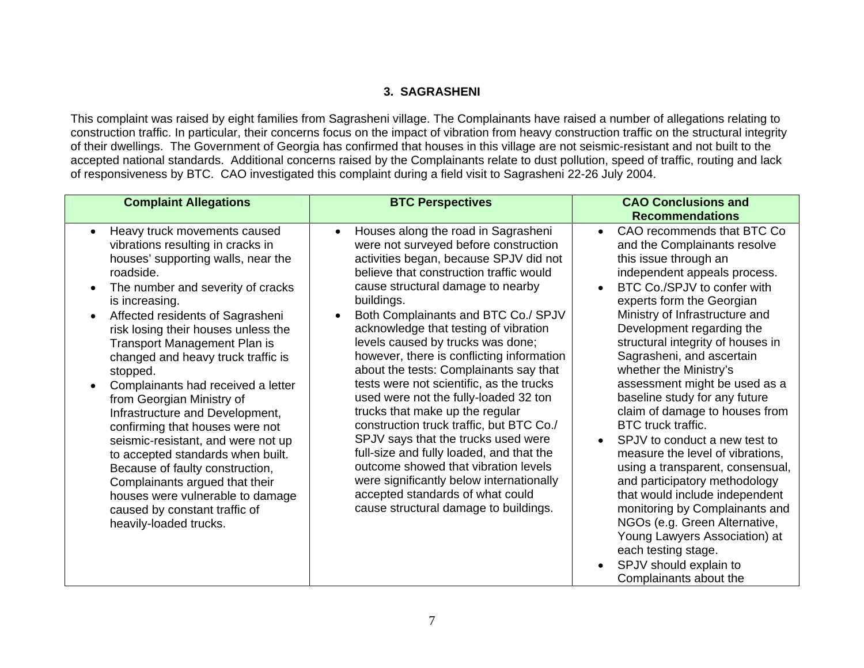## **3. SAGRASHENI**

This complaint was raised by eight families from Sagrasheni village. The Complainants have raised a number of allegations relating to construction traffic. In particular, their concerns focus on the impact of vibration from heavy construction traffic on the structural integrity of their dwellings. The Government of Georgia has confirmed that houses in this village are not seismic-resistant and not built to the accepted national standards. Additional concerns raised by the Complainants relate to dust pollution, speed of traffic, routing and lack of responsiveness by BTC. CAO investigated this complaint during a field visit to Sagrasheni 22-26 July 2004.

| <b>Complaint Allegations</b>                                                                                                                                                                                                                                                                                                                                                                                                                                                                                                                                                                                                                                                                                                                         | <b>BTC Perspectives</b>                                                                                                                                                                                                                                                                                                                                                                                                                                                                                                                                                                                                                                                                                                                                                                                                                                  | <b>CAO Conclusions and</b>                                                                                                                                                                                                                                                                                                                                                                                                                                                                                                                                                                                                                                                                                                                                                                                                                                                                 |
|------------------------------------------------------------------------------------------------------------------------------------------------------------------------------------------------------------------------------------------------------------------------------------------------------------------------------------------------------------------------------------------------------------------------------------------------------------------------------------------------------------------------------------------------------------------------------------------------------------------------------------------------------------------------------------------------------------------------------------------------------|----------------------------------------------------------------------------------------------------------------------------------------------------------------------------------------------------------------------------------------------------------------------------------------------------------------------------------------------------------------------------------------------------------------------------------------------------------------------------------------------------------------------------------------------------------------------------------------------------------------------------------------------------------------------------------------------------------------------------------------------------------------------------------------------------------------------------------------------------------|--------------------------------------------------------------------------------------------------------------------------------------------------------------------------------------------------------------------------------------------------------------------------------------------------------------------------------------------------------------------------------------------------------------------------------------------------------------------------------------------------------------------------------------------------------------------------------------------------------------------------------------------------------------------------------------------------------------------------------------------------------------------------------------------------------------------------------------------------------------------------------------------|
|                                                                                                                                                                                                                                                                                                                                                                                                                                                                                                                                                                                                                                                                                                                                                      |                                                                                                                                                                                                                                                                                                                                                                                                                                                                                                                                                                                                                                                                                                                                                                                                                                                          | <b>Recommendations</b>                                                                                                                                                                                                                                                                                                                                                                                                                                                                                                                                                                                                                                                                                                                                                                                                                                                                     |
| Heavy truck movements caused<br>vibrations resulting in cracks in<br>houses' supporting walls, near the<br>roadside.<br>The number and severity of cracks<br>is increasing.<br>Affected residents of Sagrasheni<br>$\bullet$<br>risk losing their houses unless the<br><b>Transport Management Plan is</b><br>changed and heavy truck traffic is<br>stopped.<br>Complainants had received a letter<br>from Georgian Ministry of<br>Infrastructure and Development,<br>confirming that houses were not<br>seismic-resistant, and were not up<br>to accepted standards when built.<br>Because of faulty construction,<br>Complainants argued that their<br>houses were vulnerable to damage<br>caused by constant traffic of<br>heavily-loaded trucks. | Houses along the road in Sagrasheni<br>were not surveyed before construction<br>activities began, because SPJV did not<br>believe that construction traffic would<br>cause structural damage to nearby<br>buildings.<br>Both Complainants and BTC Co./ SPJV<br>acknowledge that testing of vibration<br>levels caused by trucks was done;<br>however, there is conflicting information<br>about the tests: Complainants say that<br>tests were not scientific, as the trucks<br>used were not the fully-loaded 32 ton<br>trucks that make up the regular<br>construction truck traffic, but BTC Co./<br>SPJV says that the trucks used were<br>full-size and fully loaded, and that the<br>outcome showed that vibration levels<br>were significantly below internationally<br>accepted standards of what could<br>cause structural damage to buildings. | CAO recommends that BTC Co<br>$\bullet$<br>and the Complainants resolve<br>this issue through an<br>independent appeals process.<br>BTC Co./SPJV to confer with<br>$\bullet$<br>experts form the Georgian<br>Ministry of Infrastructure and<br>Development regarding the<br>structural integrity of houses in<br>Sagrasheni, and ascertain<br>whether the Ministry's<br>assessment might be used as a<br>baseline study for any future<br>claim of damage to houses from<br><b>BTC</b> truck traffic.<br>SPJV to conduct a new test to<br>$\bullet$<br>measure the level of vibrations,<br>using a transparent, consensual,<br>and participatory methodology<br>that would include independent<br>monitoring by Complainants and<br>NGOs (e.g. Green Alternative,<br>Young Lawyers Association) at<br>each testing stage.<br>SPJV should explain to<br>$\bullet$<br>Complainants about the |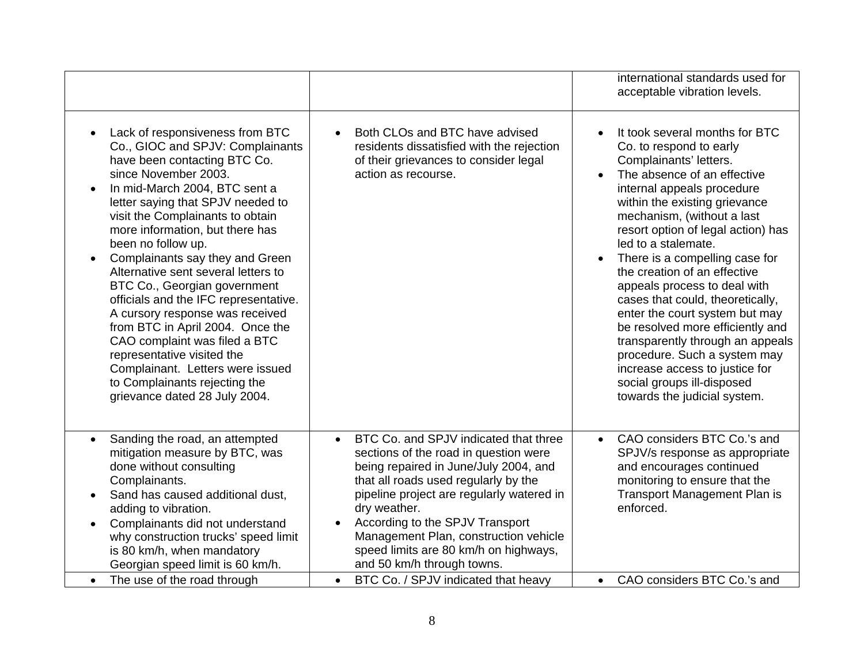|                                                                                                                                                                                                                                                                                                                                                                                                                                                                                                                                                                                                                                                                                                                         |                                                                                                                                                                                                                                                                                                                                                                                                           | international standards used for<br>acceptable vibration levels.                                                                                                                                                                                                                                                                                                                                                                                                                                                                                                                                                                                                                                    |
|-------------------------------------------------------------------------------------------------------------------------------------------------------------------------------------------------------------------------------------------------------------------------------------------------------------------------------------------------------------------------------------------------------------------------------------------------------------------------------------------------------------------------------------------------------------------------------------------------------------------------------------------------------------------------------------------------------------------------|-----------------------------------------------------------------------------------------------------------------------------------------------------------------------------------------------------------------------------------------------------------------------------------------------------------------------------------------------------------------------------------------------------------|-----------------------------------------------------------------------------------------------------------------------------------------------------------------------------------------------------------------------------------------------------------------------------------------------------------------------------------------------------------------------------------------------------------------------------------------------------------------------------------------------------------------------------------------------------------------------------------------------------------------------------------------------------------------------------------------------------|
| Lack of responsiveness from BTC<br>Co., GIOC and SPJV: Complainants<br>have been contacting BTC Co.<br>since November 2003.<br>In mid-March 2004, BTC sent a<br>$\bullet$<br>letter saying that SPJV needed to<br>visit the Complainants to obtain<br>more information, but there has<br>been no follow up.<br>Complainants say they and Green<br>$\bullet$<br>Alternative sent several letters to<br>BTC Co., Georgian government<br>officials and the IFC representative.<br>A cursory response was received<br>from BTC in April 2004. Once the<br>CAO complaint was filed a BTC<br>representative visited the<br>Complainant. Letters were issued<br>to Complainants rejecting the<br>grievance dated 28 July 2004. | Both CLOs and BTC have advised<br>$\bullet$<br>residents dissatisfied with the rejection<br>of their grievances to consider legal<br>action as recourse.                                                                                                                                                                                                                                                  | It took several months for BTC<br>$\bullet$<br>Co. to respond to early<br>Complainants' letters.<br>The absence of an effective<br>$\bullet$<br>internal appeals procedure<br>within the existing grievance<br>mechanism, (without a last<br>resort option of legal action) has<br>led to a stalemate.<br>There is a compelling case for<br>$\bullet$<br>the creation of an effective<br>appeals process to deal with<br>cases that could, theoretically,<br>enter the court system but may<br>be resolved more efficiently and<br>transparently through an appeals<br>procedure. Such a system may<br>increase access to justice for<br>social groups ill-disposed<br>towards the judicial system. |
| Sanding the road, an attempted<br>$\bullet$<br>mitigation measure by BTC, was<br>done without consulting<br>Complainants.<br>Sand has caused additional dust,<br>$\bullet$<br>adding to vibration.<br>Complainants did not understand<br>$\bullet$<br>why construction trucks' speed limit<br>is 80 km/h, when mandatory<br>Georgian speed limit is 60 km/h.                                                                                                                                                                                                                                                                                                                                                            | BTC Co. and SPJV indicated that three<br>$\bullet$<br>sections of the road in question were<br>being repaired in June/July 2004, and<br>that all roads used regularly by the<br>pipeline project are regularly watered in<br>dry weather.<br>According to the SPJV Transport<br>$\bullet$<br>Management Plan, construction vehicle<br>speed limits are 80 km/h on highways,<br>and 50 km/h through towns. | CAO considers BTC Co.'s and<br>$\bullet$<br>SPJV/s response as appropriate<br>and encourages continued<br>monitoring to ensure that the<br>Transport Management Plan is<br>enforced.                                                                                                                                                                                                                                                                                                                                                                                                                                                                                                                |
| The use of the road through                                                                                                                                                                                                                                                                                                                                                                                                                                                                                                                                                                                                                                                                                             | BTC Co. / SPJV indicated that heavy<br>$\bullet$                                                                                                                                                                                                                                                                                                                                                          | CAO considers BTC Co.'s and<br>$\bullet$                                                                                                                                                                                                                                                                                                                                                                                                                                                                                                                                                                                                                                                            |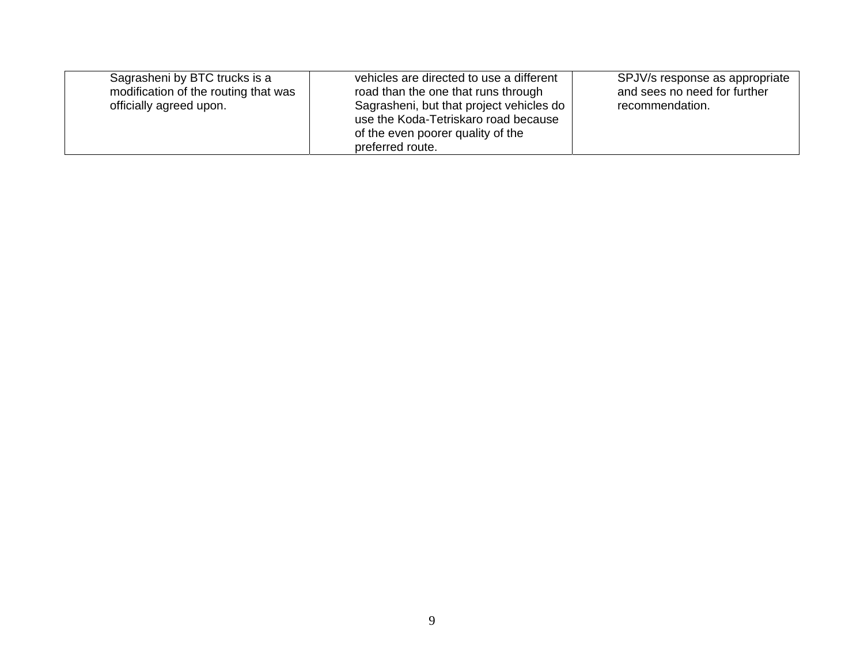| Sagrasheni by BTC trucks is a<br>modification of the routing that was<br>officially agreed upon. | vehicles are directed to use a different<br>road than the one that runs through<br>Sagrasheni, but that project vehicles do<br>use the Koda-Tetriskaro road because<br>of the even poorer quality of the<br>preferred route. | SPJV/s response as appropriate<br>and sees no need for further<br>recommendation. |
|--------------------------------------------------------------------------------------------------|------------------------------------------------------------------------------------------------------------------------------------------------------------------------------------------------------------------------------|-----------------------------------------------------------------------------------|
|--------------------------------------------------------------------------------------------------|------------------------------------------------------------------------------------------------------------------------------------------------------------------------------------------------------------------------------|-----------------------------------------------------------------------------------|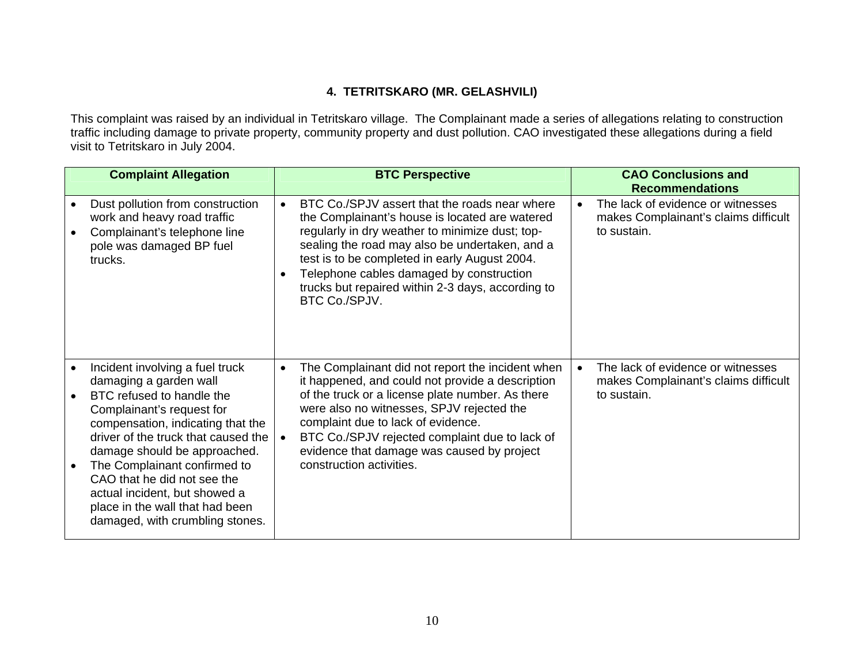## **4. TETRITSKARO (MR. GELASHVILI)**

This complaint was raised by an individual in Tetritskaro village. The Complainant made a series of allegations relating to construction traffic including damage to private property, community property and dust pollution. CAO investigated these allegations during a field visit to Tetritskaro in July 2004.

| <b>Complaint Allegation</b>                                                                                                                                                                                                                                                                                                                                                                           | <b>BTC Perspective</b>                                                                                                                                                                                                                                                                                                                                                                            |           | <b>CAO Conclusions and</b><br><b>Recommendations</b>                                     |
|-------------------------------------------------------------------------------------------------------------------------------------------------------------------------------------------------------------------------------------------------------------------------------------------------------------------------------------------------------------------------------------------------------|---------------------------------------------------------------------------------------------------------------------------------------------------------------------------------------------------------------------------------------------------------------------------------------------------------------------------------------------------------------------------------------------------|-----------|------------------------------------------------------------------------------------------|
| Dust pollution from construction<br>work and heavy road traffic<br>Complainant's telephone line<br>pole was damaged BP fuel<br>trucks.                                                                                                                                                                                                                                                                | BTC Co./SPJV assert that the roads near where<br>$\bullet$<br>the Complainant's house is located are watered<br>regularly in dry weather to minimize dust; top-<br>sealing the road may also be undertaken, and a<br>test is to be completed in early August 2004.<br>Telephone cables damaged by construction<br>$\bullet$<br>trucks but repaired within 2-3 days, according to<br>BTC Co./SPJV. | $\bullet$ | The lack of evidence or witnesses<br>makes Complainant's claims difficult<br>to sustain. |
| Incident involving a fuel truck<br>damaging a garden wall<br>BTC refused to handle the<br>Complainant's request for<br>compensation, indicating that the<br>driver of the truck that caused the<br>damage should be approached.<br>The Complainant confirmed to<br>CAO that he did not see the<br>actual incident, but showed a<br>place in the wall that had been<br>damaged, with crumbling stones. | The Complainant did not report the incident when<br>$\bullet$<br>it happened, and could not provide a description<br>of the truck or a license plate number. As there<br>were also no witnesses, SPJV rejected the<br>complaint due to lack of evidence.<br>BTC Co./SPJV rejected complaint due to lack of<br>$\bullet$<br>evidence that damage was caused by project<br>construction activities. | $\bullet$ | The lack of evidence or witnesses<br>makes Complainant's claims difficult<br>to sustain. |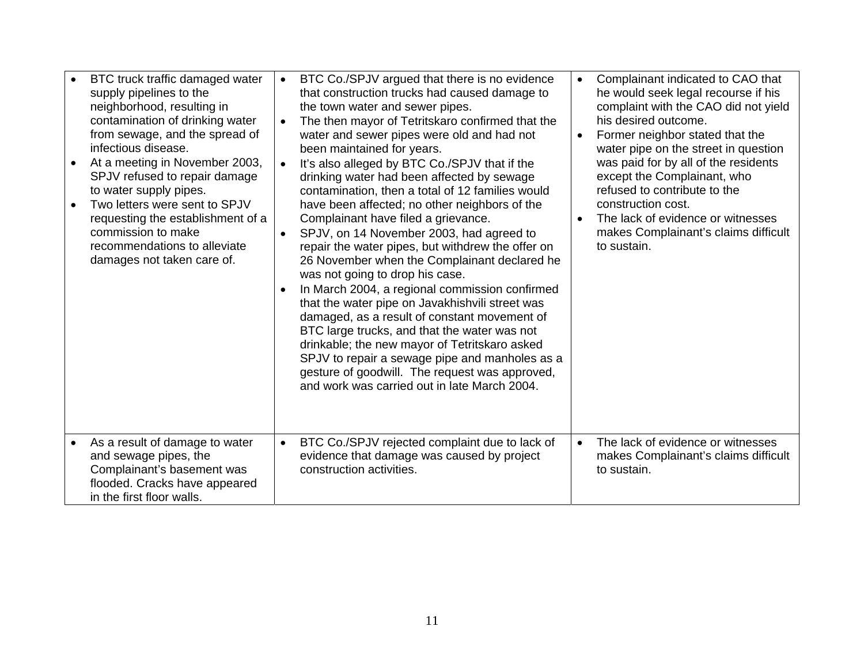| $\bullet$ | BTC truck traffic damaged water<br>supply pipelines to the<br>neighborhood, resulting in<br>contamination of drinking water<br>from sewage, and the spread of<br>infectious disease.<br>At a meeting in November 2003,<br>SPJV refused to repair damage<br>to water supply pipes.<br>Two letters were sent to SPJV<br>requesting the establishment of a<br>commission to make<br>recommendations to alleviate<br>damages not taken care of. | $\bullet$<br>$\bullet$ | BTC Co./SPJV argued that there is no evidence<br>that construction trucks had caused damage to<br>the town water and sewer pipes.<br>The then mayor of Tetritskaro confirmed that the<br>water and sewer pipes were old and had not<br>been maintained for years.<br>It's also alleged by BTC Co./SPJV that if the<br>drinking water had been affected by sewage<br>contamination, then a total of 12 families would<br>have been affected; no other neighbors of the<br>Complainant have filed a grievance.<br>SPJV, on 14 November 2003, had agreed to<br>repair the water pipes, but withdrew the offer on<br>26 November when the Complainant declared he<br>was not going to drop his case.<br>In March 2004, a regional commission confirmed<br>that the water pipe on Javakhishvili street was<br>damaged, as a result of constant movement of<br>BTC large trucks, and that the water was not<br>drinkable; the new mayor of Tetritskaro asked<br>SPJV to repair a sewage pipe and manholes as a<br>gesture of goodwill. The request was approved,<br>and work was carried out in late March 2004. | $\bullet$<br>$\bullet$<br>$\bullet$ | Complainant indicated to CAO that<br>he would seek legal recourse if his<br>complaint with the CAO did not yield<br>his desired outcome.<br>Former neighbor stated that the<br>water pipe on the street in question<br>was paid for by all of the residents<br>except the Complainant, who<br>refused to contribute to the<br>construction cost.<br>The lack of evidence or witnesses<br>makes Complainant's claims difficult<br>to sustain. |
|-----------|---------------------------------------------------------------------------------------------------------------------------------------------------------------------------------------------------------------------------------------------------------------------------------------------------------------------------------------------------------------------------------------------------------------------------------------------|------------------------|------------------------------------------------------------------------------------------------------------------------------------------------------------------------------------------------------------------------------------------------------------------------------------------------------------------------------------------------------------------------------------------------------------------------------------------------------------------------------------------------------------------------------------------------------------------------------------------------------------------------------------------------------------------------------------------------------------------------------------------------------------------------------------------------------------------------------------------------------------------------------------------------------------------------------------------------------------------------------------------------------------------------------------------------------------------------------------------------------------|-------------------------------------|----------------------------------------------------------------------------------------------------------------------------------------------------------------------------------------------------------------------------------------------------------------------------------------------------------------------------------------------------------------------------------------------------------------------------------------------|
|           | As a result of damage to water<br>and sewage pipes, the<br>Complainant's basement was<br>flooded. Cracks have appeared<br>in the first floor walls.                                                                                                                                                                                                                                                                                         | $\bullet$              | BTC Co./SPJV rejected complaint due to lack of<br>evidence that damage was caused by project<br>construction activities.                                                                                                                                                                                                                                                                                                                                                                                                                                                                                                                                                                                                                                                                                                                                                                                                                                                                                                                                                                                   | $\bullet$                           | The lack of evidence or witnesses<br>makes Complainant's claims difficult<br>to sustain.                                                                                                                                                                                                                                                                                                                                                     |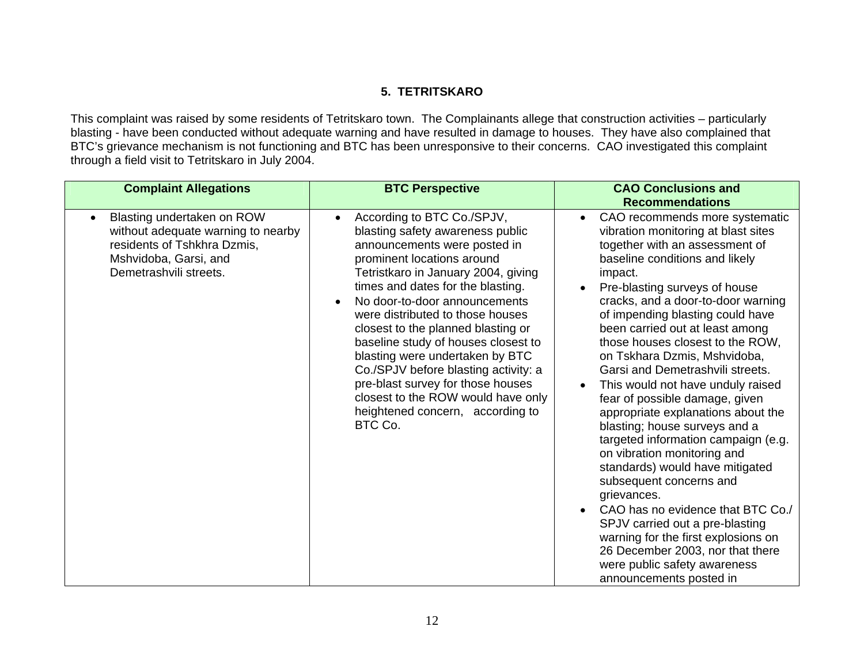## **5. TETRITSKARO**

This complaint was raised by some residents of Tetritskaro town. The Complainants allege that construction activities – particularly blasting - have been conducted without adequate warning and have resulted in damage to houses. They have also complained that BTC's grievance mechanism is not functioning and BTC has been unresponsive to their concerns. CAO investigated this complaint through a field visit to Tetritskaro in July 2004.

| <b>Complaint Allegations</b>                                                                                                                       | <b>BTC Perspective</b>                                                                                                                                                                                                                                                                                                                                                                                                                                                                                                                                                       | <b>CAO Conclusions and</b><br><b>Recommendations</b>                                                                                                                                                                                                                                                                                                                                                                                                                                                                                                                                                                                                                                                                                                                                                                                                                                                                                   |
|----------------------------------------------------------------------------------------------------------------------------------------------------|------------------------------------------------------------------------------------------------------------------------------------------------------------------------------------------------------------------------------------------------------------------------------------------------------------------------------------------------------------------------------------------------------------------------------------------------------------------------------------------------------------------------------------------------------------------------------|----------------------------------------------------------------------------------------------------------------------------------------------------------------------------------------------------------------------------------------------------------------------------------------------------------------------------------------------------------------------------------------------------------------------------------------------------------------------------------------------------------------------------------------------------------------------------------------------------------------------------------------------------------------------------------------------------------------------------------------------------------------------------------------------------------------------------------------------------------------------------------------------------------------------------------------|
| Blasting undertaken on ROW<br>without adequate warning to nearby<br>residents of Tshkhra Dzmis,<br>Mshvidoba, Garsi, and<br>Demetrashvili streets. | According to BTC Co./SPJV,<br>$\bullet$<br>blasting safety awareness public<br>announcements were posted in<br>prominent locations around<br>Tetristkaro in January 2004, giving<br>times and dates for the blasting.<br>No door-to-door announcements<br>were distributed to those houses<br>closest to the planned blasting or<br>baseline study of houses closest to<br>blasting were undertaken by BTC<br>Co./SPJV before blasting activity: a<br>pre-blast survey for those houses<br>closest to the ROW would have only<br>heightened concern, according to<br>BTC Co. | CAO recommends more systematic<br>$\bullet$<br>vibration monitoring at blast sites<br>together with an assessment of<br>baseline conditions and likely<br>impact.<br>Pre-blasting surveys of house<br>cracks, and a door-to-door warning<br>of impending blasting could have<br>been carried out at least among<br>those houses closest to the ROW,<br>on Tskhara Dzmis, Mshvidoba,<br>Garsi and Demetrashvili streets.<br>This would not have unduly raised<br>fear of possible damage, given<br>appropriate explanations about the<br>blasting; house surveys and a<br>targeted information campaign (e.g.<br>on vibration monitoring and<br>standards) would have mitigated<br>subsequent concerns and<br>grievances.<br>CAO has no evidence that BTC Co./<br>SPJV carried out a pre-blasting<br>warning for the first explosions on<br>26 December 2003, nor that there<br>were public safety awareness<br>announcements posted in |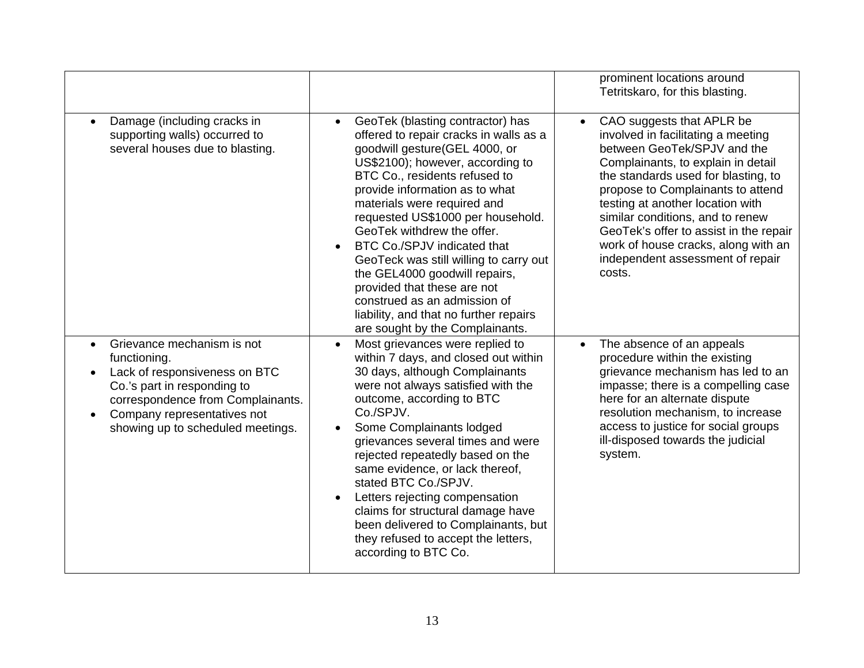|                                                                                                                                                                                                                                  |                                                                                                                                                                                                                                                                                                                                                                                                                                                                                                                                                                                         | prominent locations around<br>Tetritskaro, for this blasting.                                                                                                                                                                                                                                                                                                                                                                        |
|----------------------------------------------------------------------------------------------------------------------------------------------------------------------------------------------------------------------------------|-----------------------------------------------------------------------------------------------------------------------------------------------------------------------------------------------------------------------------------------------------------------------------------------------------------------------------------------------------------------------------------------------------------------------------------------------------------------------------------------------------------------------------------------------------------------------------------------|--------------------------------------------------------------------------------------------------------------------------------------------------------------------------------------------------------------------------------------------------------------------------------------------------------------------------------------------------------------------------------------------------------------------------------------|
| Damage (including cracks in<br>supporting walls) occurred to<br>several houses due to blasting.                                                                                                                                  | GeoTek (blasting contractor) has<br>$\bullet$<br>offered to repair cracks in walls as a<br>goodwill gesture(GEL 4000, or<br>US\$2100); however, according to<br>BTC Co., residents refused to<br>provide information as to what<br>materials were required and<br>requested US\$1000 per household.<br>GeoTek withdrew the offer.<br>BTC Co./SPJV indicated that<br>GeoTeck was still willing to carry out<br>the GEL4000 goodwill repairs,<br>provided that these are not<br>construed as an admission of<br>liability, and that no further repairs<br>are sought by the Complainants. | CAO suggests that APLR be<br>$\bullet$<br>involved in facilitating a meeting<br>between GeoTek/SPJV and the<br>Complainants, to explain in detail<br>the standards used for blasting, to<br>propose to Complainants to attend<br>testing at another location with<br>similar conditions, and to renew<br>GeoTek's offer to assist in the repair<br>work of house cracks, along with an<br>independent assessment of repair<br>costs. |
| Grievance mechanism is not<br>$\bullet$<br>functioning.<br>Lack of responsiveness on BTC<br>Co.'s part in responding to<br>correspondence from Complainants.<br>Company representatives not<br>showing up to scheduled meetings. | Most grievances were replied to<br>$\bullet$<br>within 7 days, and closed out within<br>30 days, although Complainants<br>were not always satisfied with the<br>outcome, according to BTC<br>Co./SPJV.<br>Some Complainants lodged<br>grievances several times and were<br>rejected repeatedly based on the<br>same evidence, or lack thereof,<br>stated BTC Co./SPJV.<br>Letters rejecting compensation<br>claims for structural damage have<br>been delivered to Complainants, but<br>they refused to accept the letters,<br>according to BTC Co.                                     | The absence of an appeals<br>$\bullet$<br>procedure within the existing<br>grievance mechanism has led to an<br>impasse; there is a compelling case<br>here for an alternate dispute<br>resolution mechanism, to increase<br>access to justice for social groups<br>ill-disposed towards the judicial<br>system.                                                                                                                     |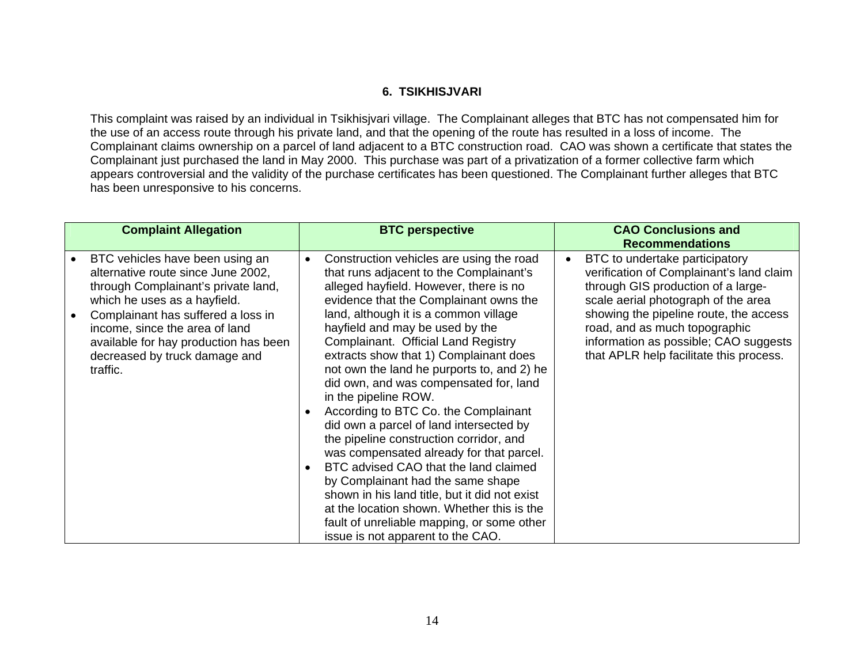### **6. TSIKHISJVARI**

This complaint was raised by an individual in Tsikhisjvari village. The Complainant alleges that BTC has not compensated him for the use of an access route through his private land, and that the opening of the route has resulted in a loss of income. The Complainant claims ownership on a parcel of land adjacent to a BTC construction road. CAO was shown a certificate that states the Complainant just purchased the land in May 2000. This purchase was part of a privatization of a former collective farm which appears controversial and the validity of the purchase certificates has been questioned. The Complainant further alleges that BTC has been unresponsive to his concerns.

| <b>Complaint Allegation</b>                                                                                                                                                                                                                                                                                |           | <b>BTC perspective</b>                                                                                                                                                                                                                                                                                                                                                                                                                               |   | <b>CAO Conclusions and</b>                                                                                                                                                                                                                                                                                                                       |
|------------------------------------------------------------------------------------------------------------------------------------------------------------------------------------------------------------------------------------------------------------------------------------------------------------|-----------|------------------------------------------------------------------------------------------------------------------------------------------------------------------------------------------------------------------------------------------------------------------------------------------------------------------------------------------------------------------------------------------------------------------------------------------------------|---|--------------------------------------------------------------------------------------------------------------------------------------------------------------------------------------------------------------------------------------------------------------------------------------------------------------------------------------------------|
| BTC vehicles have been using an<br>alternative route since June 2002,<br>through Complainant's private land,<br>which he uses as a hayfield.<br>Complainant has suffered a loss in<br>income, since the area of land<br>available for hay production has been<br>decreased by truck damage and<br>traffic. | $\bullet$ | Construction vehicles are using the road<br>that runs adjacent to the Complainant's<br>alleged hayfield. However, there is no<br>evidence that the Complainant owns the<br>land, although it is a common village<br>hayfield and may be used by the<br>Complainant. Official Land Registry<br>extracts show that 1) Complainant does<br>not own the land he purports to, and 2) he<br>did own, and was compensated for, land<br>in the pipeline ROW. | ٠ | <b>Recommendations</b><br>BTC to undertake participatory<br>verification of Complainant's land claim<br>through GIS production of a large-<br>scale aerial photograph of the area<br>showing the pipeline route, the access<br>road, and as much topographic<br>information as possible; CAO suggests<br>that APLR help facilitate this process. |
|                                                                                                                                                                                                                                                                                                            |           | According to BTC Co. the Complainant<br>did own a parcel of land intersected by<br>the pipeline construction corridor, and<br>was compensated already for that parcel.<br>BTC advised CAO that the land claimed<br>by Complainant had the same shape<br>shown in his land title, but it did not exist<br>at the location shown. Whether this is the<br>fault of unreliable mapping, or some other<br>issue is not apparent to the CAO.               |   |                                                                                                                                                                                                                                                                                                                                                  |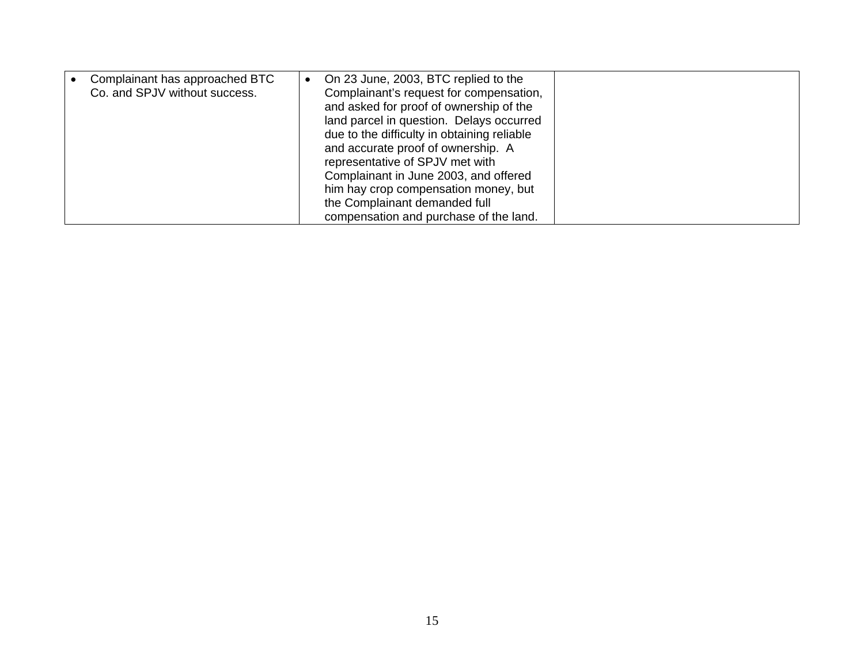| Complainant has approached BTC<br>On 23 June, 2003, BTC replied to the<br>Co. and SPJV without success.<br>Complainant's request for compensation,<br>and asked for proof of ownership of the<br>land parcel in question. Delays occurred<br>due to the difficulty in obtaining reliable<br>and accurate proof of ownership. A<br>representative of SPJV met with<br>Complainant in June 2003, and offered<br>him hay crop compensation money, but<br>the Complainant demanded full<br>compensation and purchase of the land. |  |  |  |  |  |
|-------------------------------------------------------------------------------------------------------------------------------------------------------------------------------------------------------------------------------------------------------------------------------------------------------------------------------------------------------------------------------------------------------------------------------------------------------------------------------------------------------------------------------|--|--|--|--|--|
|-------------------------------------------------------------------------------------------------------------------------------------------------------------------------------------------------------------------------------------------------------------------------------------------------------------------------------------------------------------------------------------------------------------------------------------------------------------------------------------------------------------------------------|--|--|--|--|--|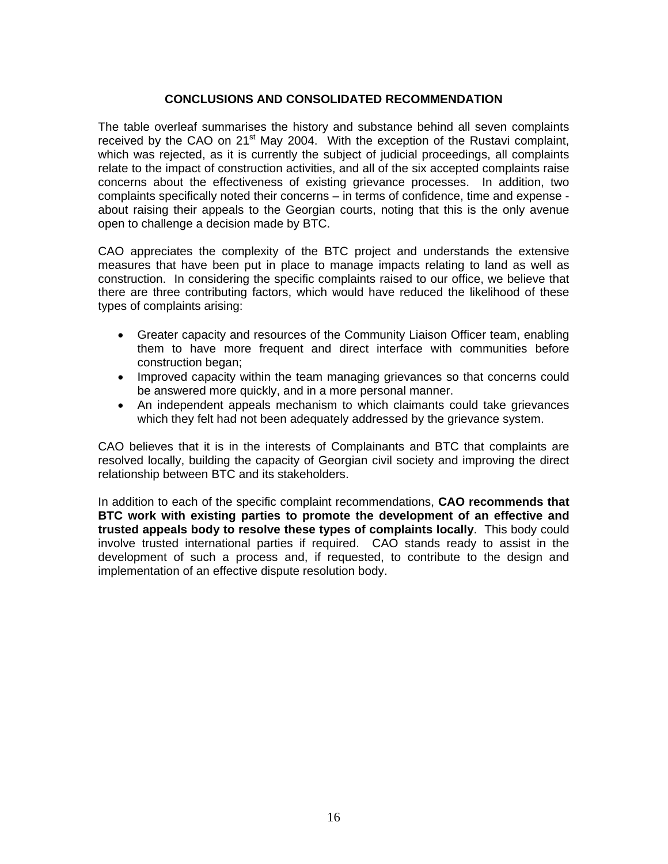### **CONCLUSIONS AND CONSOLIDATED RECOMMENDATION**

The table overleaf summarises the history and substance behind all seven complaints received by the CAO on  $21^{st}$  May 2004. With the exception of the Rustavi complaint, which was rejected, as it is currently the subject of judicial proceedings, all complaints relate to the impact of construction activities, and all of the six accepted complaints raise concerns about the effectiveness of existing grievance processes. In addition, two complaints specifically noted their concerns – in terms of confidence, time and expense about raising their appeals to the Georgian courts, noting that this is the only avenue open to challenge a decision made by BTC.

CAO appreciates the complexity of the BTC project and understands the extensive measures that have been put in place to manage impacts relating to land as well as construction. In considering the specific complaints raised to our office, we believe that there are three contributing factors, which would have reduced the likelihood of these types of complaints arising:

- Greater capacity and resources of the Community Liaison Officer team, enabling them to have more frequent and direct interface with communities before construction began;
- Improved capacity within the team managing grievances so that concerns could be answered more quickly, and in a more personal manner.
- An independent appeals mechanism to which claimants could take grievances which they felt had not been adequately addressed by the grievance system.

CAO believes that it is in the interests of Complainants and BTC that complaints are resolved locally, building the capacity of Georgian civil society and improving the direct relationship between BTC and its stakeholders.

In addition to each of the specific complaint recommendations, **CAO recommends that BTC work with existing parties to promote the development of an effective and trusted appeals body to resolve these types of complaints locally**. This body could involve trusted international parties if required. CAO stands ready to assist in the development of such a process and, if requested, to contribute to the design and implementation of an effective dispute resolution body.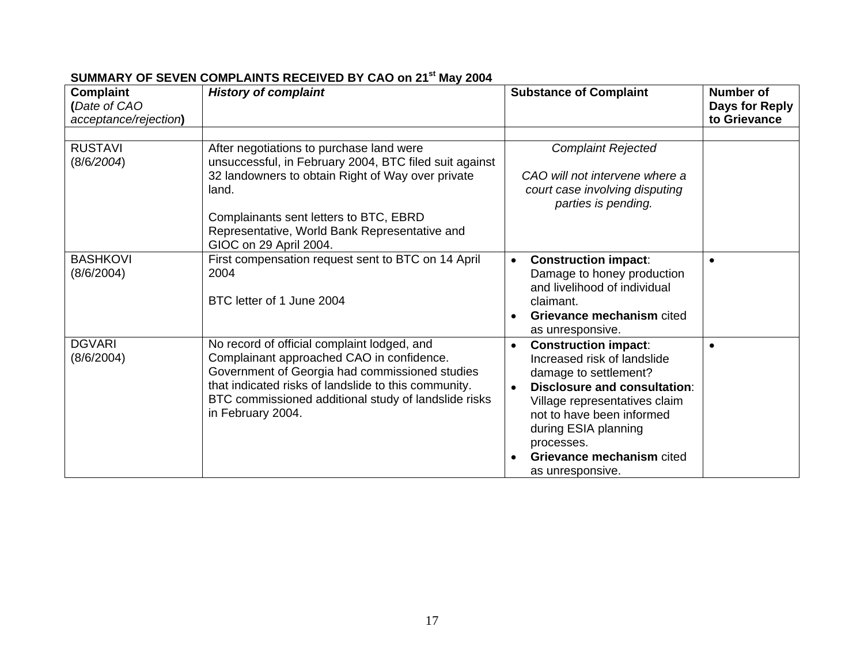| <b>Complaint</b><br>(Date of CAO<br>acceptance/rejection) | <b>History of complaint</b>                                                                                                                                                                                                                                                           | <b>Substance of Complaint</b>                                                                                                                                                                                                                                                                             | Number of<br>Days for Reply<br>to Grievance |
|-----------------------------------------------------------|---------------------------------------------------------------------------------------------------------------------------------------------------------------------------------------------------------------------------------------------------------------------------------------|-----------------------------------------------------------------------------------------------------------------------------------------------------------------------------------------------------------------------------------------------------------------------------------------------------------|---------------------------------------------|
| <b>RUSTAVI</b><br>(8/6/2004)                              | After negotiations to purchase land were<br>unsuccessful, in February 2004, BTC filed suit against<br>32 landowners to obtain Right of Way over private<br>land.<br>Complainants sent letters to BTC, EBRD<br>Representative, World Bank Representative and<br>GIOC on 29 April 2004. | <b>Complaint Rejected</b><br>CAO will not intervene where a<br>court case involving disputing<br>parties is pending.                                                                                                                                                                                      |                                             |
| <b>BASHKOVI</b><br>(8/6/2004)                             | First compensation request sent to BTC on 14 April<br>2004<br>BTC letter of 1 June 2004                                                                                                                                                                                               | <b>Construction impact:</b><br>$\bullet$<br>Damage to honey production<br>and livelihood of individual<br>claimant.<br>Grievance mechanism cited<br>as unresponsive.                                                                                                                                      | $\bullet$                                   |
| <b>DGVARI</b><br>(8/6/2004)                               | No record of official complaint lodged, and<br>Complainant approached CAO in confidence.<br>Government of Georgia had commissioned studies<br>that indicated risks of landslide to this community.<br>BTC commissioned additional study of landslide risks<br>in February 2004.       | <b>Construction impact:</b><br>$\bullet$<br>Increased risk of landslide<br>damage to settlement?<br><b>Disclosure and consultation:</b><br>$\bullet$<br>Village representatives claim<br>not to have been informed<br>during ESIA planning<br>processes.<br>Grievance mechanism cited<br>as unresponsive. | $\bullet$                                   |

# **SUMMARY OF SEVEN COMPLAINTS RECEIVED BY CAO on 21st May 2004**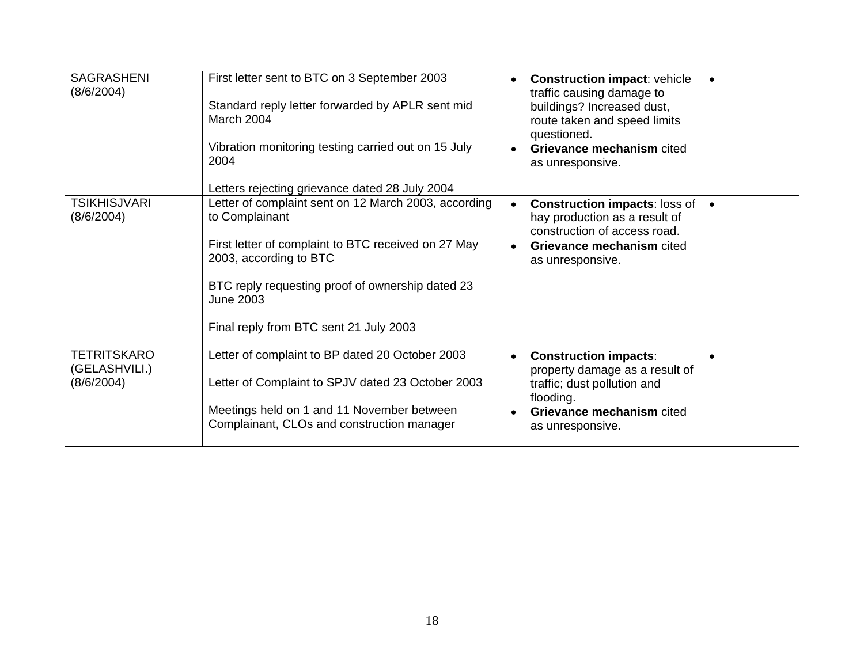| <b>SAGRASHENI</b><br>(8/6/2004)                   | First letter sent to BTC on 3 September 2003<br>Standard reply letter forwarded by APLR sent mid<br>March 2004<br>Vibration monitoring testing carried out on 15 July<br>2004<br>Letters rejecting grievance dated 28 July 2004                                           | <b>Construction impact: vehicle</b><br>traffic causing damage to<br>buildings? Increased dust,<br>route taken and speed limits<br>questioned.<br>Grievance mechanism cited<br>as unresponsive. | $\bullet$ |
|---------------------------------------------------|---------------------------------------------------------------------------------------------------------------------------------------------------------------------------------------------------------------------------------------------------------------------------|------------------------------------------------------------------------------------------------------------------------------------------------------------------------------------------------|-----------|
| <b>TSIKHISJVARI</b><br>(8/6/2004)                 | Letter of complaint sent on 12 March 2003, according<br>to Complainant<br>First letter of complaint to BTC received on 27 May<br>2003, according to BTC<br>BTC reply requesting proof of ownership dated 23<br><b>June 2003</b><br>Final reply from BTC sent 21 July 2003 | <b>Construction impacts: loss of</b><br>hay production as a result of<br>construction of access road.<br><b>Grievance mechanism cited</b><br>as unresponsive.                                  | $\bullet$ |
| <b>TETRITSKARO</b><br>(GELASHVILI.)<br>(8/6/2004) | Letter of complaint to BP dated 20 October 2003<br>Letter of Complaint to SPJV dated 23 October 2003<br>Meetings held on 1 and 11 November between<br>Complainant, CLOs and construction manager                                                                          | <b>Construction impacts:</b><br>property damage as a result of<br>traffic; dust pollution and<br>flooding.<br>Grievance mechanism cited<br>as unresponsive.                                    | $\bullet$ |